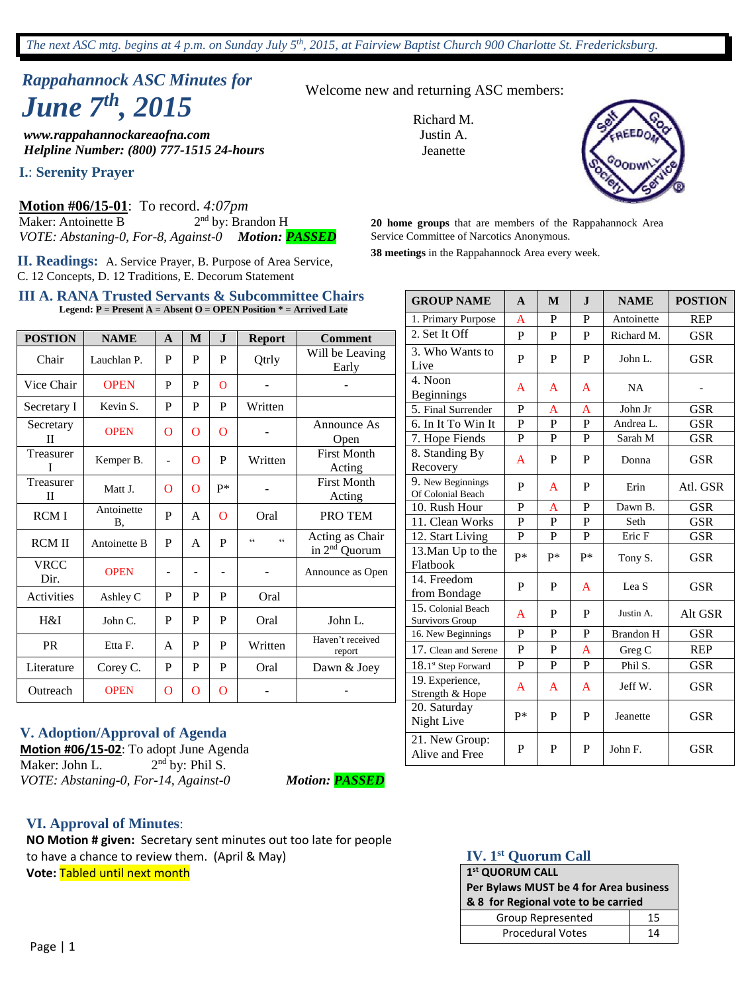# *Rappahannock ASC Minutes for June 7 th , 2015*

*www.rappahannockareaofna.com Helpline Number: (800) 777-1515 24-hours*

**I.**: **Serenity Prayer**

**Motion #06/15-01**: To record. *4:07pm*  Maker: Antoinette B 2 2<sup>nd</sup> by: Brandon H *VOTE: Abstaning-0, For-8, Against-0 Motion: PASSED*

**II. Readings:** A. Service Prayer, B. Purpose of Area Service, C. 12 Concepts, D. 12 Traditions, E. Decorum Statement

#### **III A. RANA Trusted Servants & Subcommittee Chairs Legend: P = Present A = Absent O = OPEN Position \* = Arrived Late**

| <b>POSTION</b>           | <b>NAME</b>      | $\mathbf{A}$ | M            | ${\bf J}$                | <b>Report</b>            | <b>Comment</b>                               |
|--------------------------|------------------|--------------|--------------|--------------------------|--------------------------|----------------------------------------------|
| Chair                    | Lauchlan P.      | P            | P            | P                        | Qtrly                    | Will be Leaving<br>Early                     |
| Vice Chair               | <b>OPEN</b>      | P            | P            | $\Omega$                 |                          |                                              |
| Secretary I              | Kevin S.         | P            | P            | P                        | Written                  |                                              |
| Secretary<br>П           | <b>OPEN</b>      | $\Omega$     | O            | $\Omega$                 |                          | Announce As<br>Open                          |
| Treasurer<br>T           | Kemper B.        | ÷            | $\Omega$     | P                        | Written                  | <b>First Month</b><br>Acting                 |
| Treasurer<br>$_{\rm II}$ | Matt J.          | O            | $\Omega$     | p*                       |                          | <b>First Month</b><br>Acting                 |
| <b>RCMI</b>              | Antoinette<br>В. | P            | A            | $\Omega$                 | Oral                     | PRO TEM                                      |
| <b>RCM II</b>            | Antoinette B     | P            | $\mathsf{A}$ | P                        | $\epsilon$<br>$\epsilon$ | Acting as Chair<br>in 2 <sup>nd</sup> Quorum |
| <b>VRCC</b><br>Dir.      | <b>OPEN</b>      |              | -            | $\overline{\phantom{0}}$ |                          | Announce as Open                             |
| Activities               | Ashley C         | P            | P            | P                        | Oral                     |                                              |
| H&I                      | John C.          | P            | P            | P                        | Oral                     | John L.                                      |
| <b>PR</b>                | Etta F.          | A            | P            | P                        | Written                  | Haven't received<br>report                   |
| Literature               | Corey C.         | P            | P            | P                        | Oral                     | Dawn & Joey                                  |
| Outreach                 | <b>OPEN</b>      | $\Omega$     | $\Omega$     | O                        |                          |                                              |

#### **V. Adoption/Approval of Agenda**

**Motion #06/15-02**: To adopt June Agenda Maker: John L. 2  $2<sup>nd</sup>$  by: Phil S. *VOTE: Abstaning-0, For-14, Against-0 Motion: PASSED*

#### **VI. Approval of Minutes**:

**NO Motion # given:** Secretary sent minutes out too late for people to have a chance to review them. (April & May) **Vote:** Tabled until next month

Welcome new and returning ASC members:

Richard M. Justin A. **Jeanette** 



**20 home groups** that are members of the Rappahannock Area Service Committee of Narcotics Anonymous.

**38 meetings** in the Rappahannock Area every week.

| <b>GROUP NAME</b>                      | $\mathbf{A}$   | M            | $\mathbf I$    | <b>NAME</b>      | <b>POSTION</b> |
|----------------------------------------|----------------|--------------|----------------|------------------|----------------|
| 1. Primary Purpose                     | A              | P            | P              | Antoinette       | <b>REP</b>     |
| 2. Set It Off                          | P              | P            | P              | Richard M.       | <b>GSR</b>     |
| 3. Who Wants to<br>Live                | P              | P            | P              | John L.          | <b>GSR</b>     |
| 4. Noon<br><b>Beginnings</b>           | A              | A            | A              | <b>NA</b>        |                |
| 5. Final Surrender                     | P              | A            | A              | John Jr          | <b>GSR</b>     |
| 6. In It To Win It                     | $\mathbf P$    | $\mathbf P$  | $\overline{P}$ | Andrea L.        | <b>GSR</b>     |
| 7. Hope Fiends                         | P              | P            | P              | Sarah M          | <b>GSR</b>     |
| 8. Standing By<br>Recovery             | A              | P            | P              | Donna            | <b>GSR</b>     |
| 9. New Beginnings<br>Of Colonial Beach | P              | A            | P              | Erin             | Atl. GSR       |
| 10. Rush Hour                          | $\mathbf P$    | A            | P              | Dawn B.          | <b>GSR</b>     |
| 11. Clean Works                        | $\overline{P}$ | $\mathbf{P}$ | $\overline{P}$ | Seth             | <b>GSR</b>     |
| 12. Start Living                       | P              | P            | P              | Eric F           | <b>GSR</b>     |
| 13. Man Up to the<br>Flatbook          | p*             | p*           | $P*$           | Tony S.          | <b>GSR</b>     |
| 14. Freedom<br>from Bondage            | P              | P            | A              | Lea S            | <b>GSR</b>     |
| 15. Colonial Beach<br>Survivors Group  | A              | P            | P              | Justin A.        | Alt GSR        |
| 16. New Beginnings                     | P              | P            | P              | <b>Brandon H</b> | <b>GSR</b>     |
| 17. Clean and Serene                   | $\mathbf{P}$   | P            | A              | Greg C           | <b>REP</b>     |
| 18.1st Step Forward                    | P              | P            | P              | Phil S.          | <b>GSR</b>     |
| 19. Experience,<br>Strength & Hope     | A              | A            | A              | Jeff W.          | <b>GSR</b>     |
| 20. Saturday<br>Night Live             | $P*$           | P            | P              | Jeanette         | <b>GSR</b>     |
| 21. New Group:<br>Alive and Free       | P              | P            | P              | John F.          | <b>GSR</b>     |

#### **IV. 1st Quorum Call**

| 1st QUORUM CALL                        |    |  |  |  |
|----------------------------------------|----|--|--|--|
| Per Bylaws MUST be 4 for Area business |    |  |  |  |
| & 8 for Regional vote to be carried    |    |  |  |  |
| Group Represented                      | 15 |  |  |  |
| <b>Procedural Votes</b>                | 14 |  |  |  |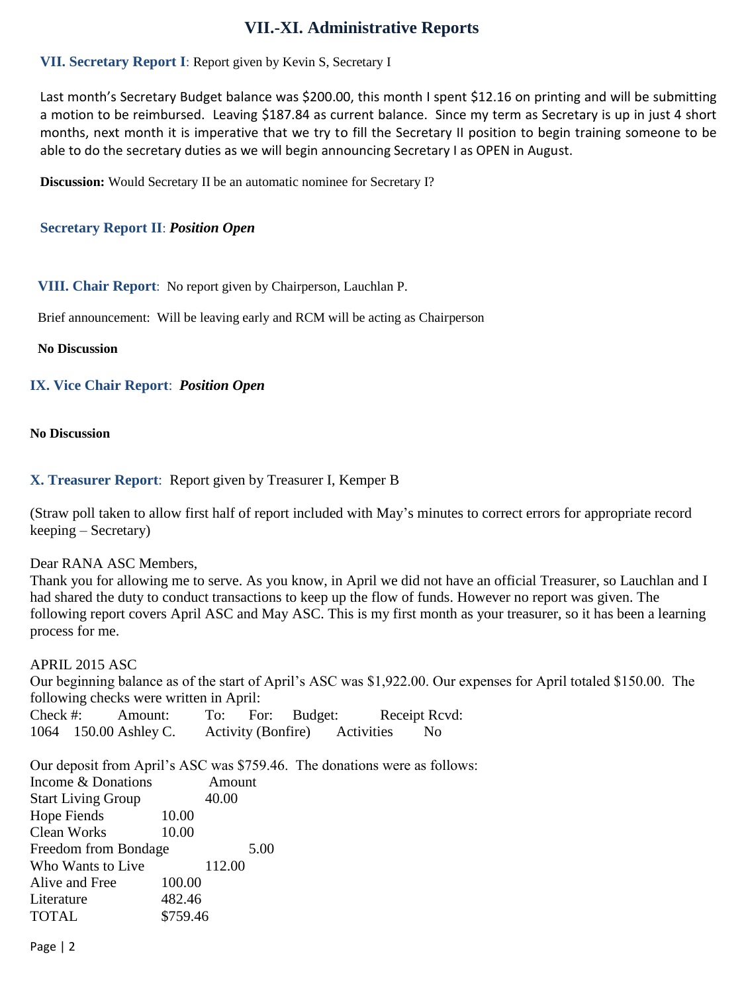## **VII.-XI. Administrative Reports**

### **VII. Secretary Report I**: Report given by Kevin S, Secretary I

Last month's Secretary Budget balance was \$200.00, this month I spent \$12.16 on printing and will be submitting a motion to be reimbursed. Leaving \$187.84 as current balance. Since my term as Secretary is up in just 4 short months, next month it is imperative that we try to fill the Secretary II position to begin training someone to be able to do the secretary duties as we will begin announcing Secretary I as OPEN in August.

**Discussion:** Would Secretary II be an automatic nominee for Secretary I?

#### **Secretary Report II**: *Position Open*

#### **VIII. Chair Report**: No report given by Chairperson, Lauchlan P.

Brief announcement: Will be leaving early and RCM will be acting as Chairperson

#### **No Discussion**

#### **IX. Vice Chair Report**: *Position Open*

#### **No Discussion**

#### **X. Treasurer Report**: Report given by Treasurer I, Kemper B

(Straw poll taken to allow first half of report included with May's minutes to correct errors for appropriate record keeping – Secretary)

#### Dear RANA ASC Members,

Thank you for allowing me to serve. As you know, in April we did not have an official Treasurer, so Lauchlan and I had shared the duty to conduct transactions to keep up the flow of funds. However no report was given. The following report covers April ASC and May ASC. This is my first month as your treasurer, so it has been a learning process for me.

#### APRIL 2015 ASC

Our beginning balance as of the start of April's ASC was \$1,922.00. Our expenses for April totaled \$150.00. The following checks were written in April:

| Check $#$ : | Amount:               |                           | To: For: Budget: |            | Receipt Rcvd:  |
|-------------|-----------------------|---------------------------|------------------|------------|----------------|
|             | 1064 150.00 Ashley C. | <b>Activity (Bonfire)</b> |                  | Activities | N <sub>0</sub> |

Our deposit from April's ASC was \$759.46. The donations were as follows:

| Income & Donations        | Amount   |  |  |  |  |
|---------------------------|----------|--|--|--|--|
| <b>Start Living Group</b> | 40.00    |  |  |  |  |
| Hope Fiends               | 10.00    |  |  |  |  |
| Clean Works               | 10.00    |  |  |  |  |
| Freedom from Bondage      | 5.00     |  |  |  |  |
| Who Wants to Live         | 112.00   |  |  |  |  |
| Alive and Free            | 100.00   |  |  |  |  |
| Literature                | 482.46   |  |  |  |  |
| <b>TOTAL</b>              | \$759.46 |  |  |  |  |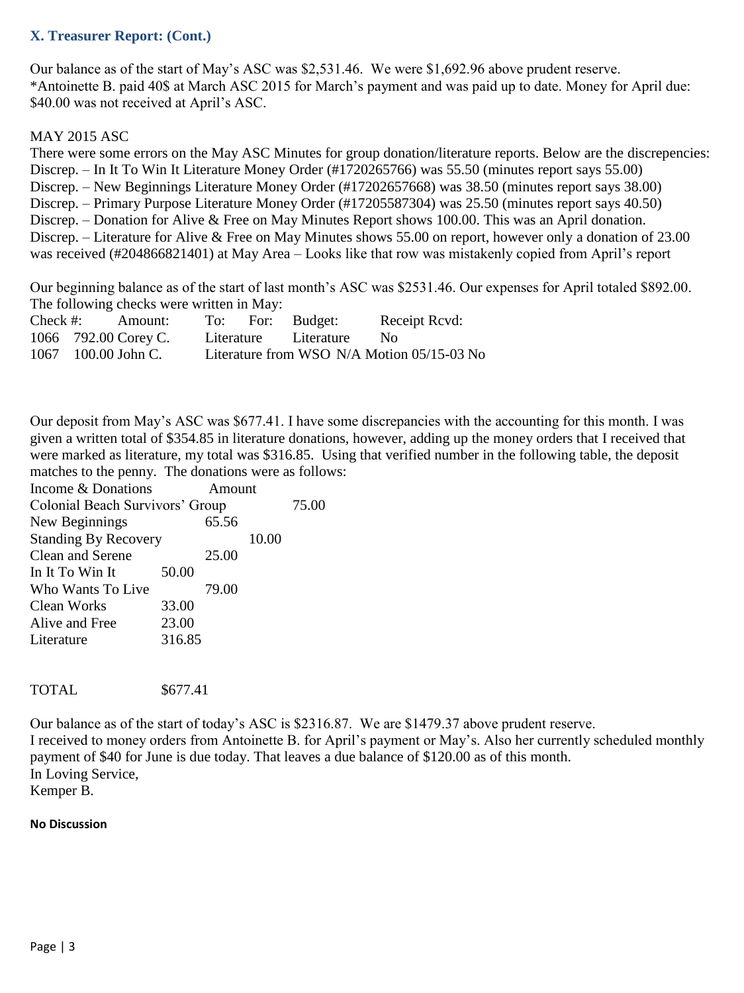#### **X. Treasurer Report: (Cont.)**

Our balance as of the start of May's ASC was \$2,531.46. We were \$1,692.96 above prudent reserve. \*Antoinette B. paid 40\$ at March ASC 2015 for March's payment and was paid up to date. Money for April due: \$40.00 was not received at April's ASC.

#### MAY 2015 ASC

There were some errors on the May ASC Minutes for group donation/literature reports. Below are the discrepencies: Discrep. – In It To Win It Literature Money Order (#1720265766) was 55.50 (minutes report says 55.00) Discrep. – New Beginnings Literature Money Order (#17202657668) was 38.50 (minutes report says 38.00) Discrep. – Primary Purpose Literature Money Order (#17205587304) was 25.50 (minutes report says 40.50) Discrep. – Donation for Alive & Free on May Minutes Report shows 100.00. This was an April donation. Discrep. – Literature for Alive & Free on May Minutes shows 55.00 on report, however only a donation of 23.00 was received (#204866821401) at May Area – Looks like that row was mistakenly copied from April's report

Our beginning balance as of the start of last month's ASC was \$2531.46. Our expenses for April totaled \$892.00. The following checks were written in May:

| $Check \#:$ | Amount:              |  | To: For: Budget:      | Receipt Rcvd:                              |
|-------------|----------------------|--|-----------------------|--------------------------------------------|
|             | 1066 792.00 Corey C. |  | Literature Literature | No                                         |
|             | 1067 100.00 John C.  |  |                       | Literature from WSO N/A Motion 05/15-03 No |

Our deposit from May's ASC was \$677.41. I have some discrepancies with the accounting for this month. I was given a written total of \$354.85 in literature donations, however, adding up the money orders that I received that were marked as literature, my total was \$316.85. Using that verified number in the following table, the deposit matches to the penny. The donations were as follows:

| Income & Donations              |        | Amount |       |  |  |
|---------------------------------|--------|--------|-------|--|--|
| Colonial Beach Survivors' Group |        | 75.00  |       |  |  |
| New Beginnings                  |        | 65.56  |       |  |  |
| <b>Standing By Recovery</b>     |        |        | 10.00 |  |  |
| Clean and Serene                |        | 25.00  |       |  |  |
| In It To Win It                 | 50.00  |        |       |  |  |
| Who Wants To Live               |        | 79.00  |       |  |  |
| <b>Clean Works</b>              | 33.00  |        |       |  |  |
| Alive and Free                  | 23.00  |        |       |  |  |
| Literature                      | 316.85 |        |       |  |  |
|                                 |        |        |       |  |  |

TOTAL \$677.41

Our balance as of the start of today's ASC is \$2316.87. We are \$1479.37 above prudent reserve. I received to money orders from Antoinette B. for April's payment or May's. Also her currently scheduled monthly payment of \$40 for June is due today. That leaves a due balance of \$120.00 as of this month. In Loving Service, Kemper B.

#### **No Discussion**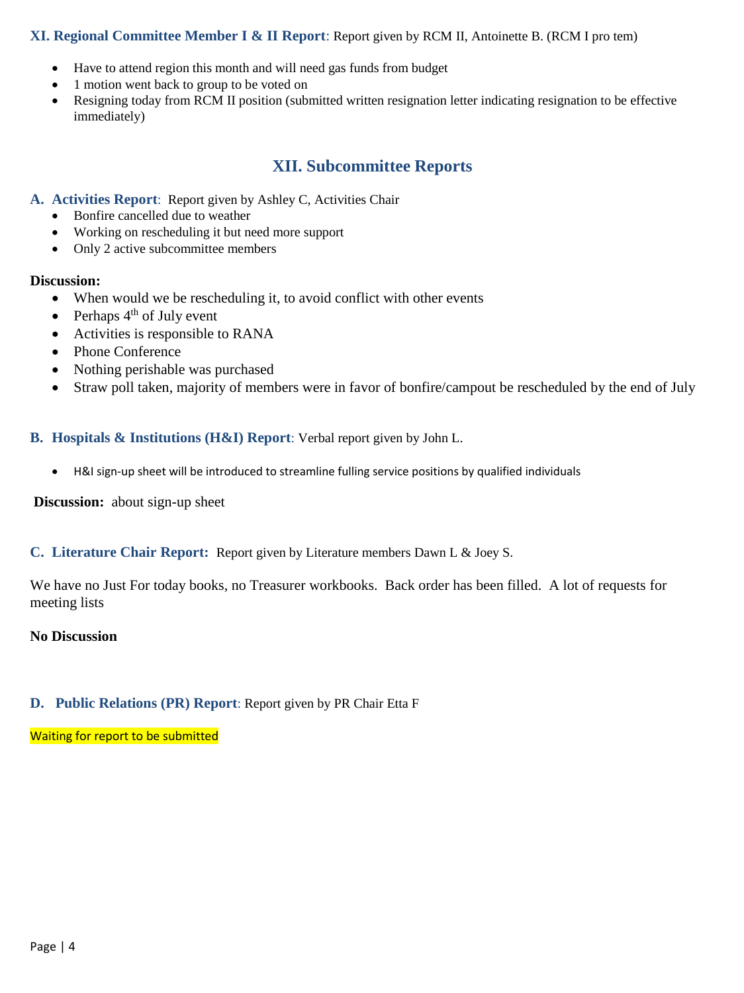#### **XI. Regional Committee Member I & II Report**: Report given by RCM II, Antoinette B. (RCM I pro tem)

- Have to attend region this month and will need gas funds from budget
- 1 motion went back to group to be voted on
- Resigning today from RCM II position (submitted written resignation letter indicating resignation to be effective immediately)

## **XII. Subcommittee Reports**

#### **A. Activities Report**: Report given by Ashley C, Activities Chair

- Bonfire cancelled due to weather
- Working on rescheduling it but need more support
- Only 2 active subcommittee members

#### **Discussion:**

- When would we be rescheduling it, to avoid conflict with other events
- Perhaps  $4<sup>th</sup>$  of July event
- Activities is responsible to RANA
- Phone Conference
- Nothing perishable was purchased
- Straw poll taken, majority of members were in favor of bonfire/campout be rescheduled by the end of July

#### **B. Hospitals & Institutions (H&I) Report**: Verbal report given by John L.

H&I sign-up sheet will be introduced to streamline fulling service positions by qualified individuals

**Discussion:** about sign-up sheet

#### **C. Literature Chair Report:** Report given by Literature members Dawn L & Joey S.

We have no Just For today books, no Treasurer workbooks. Back order has been filled. A lot of requests for meeting lists

#### **No Discussion**

#### **D. Public Relations (PR) Report**: Report given by PR Chair Etta F

Waiting for report to be submitted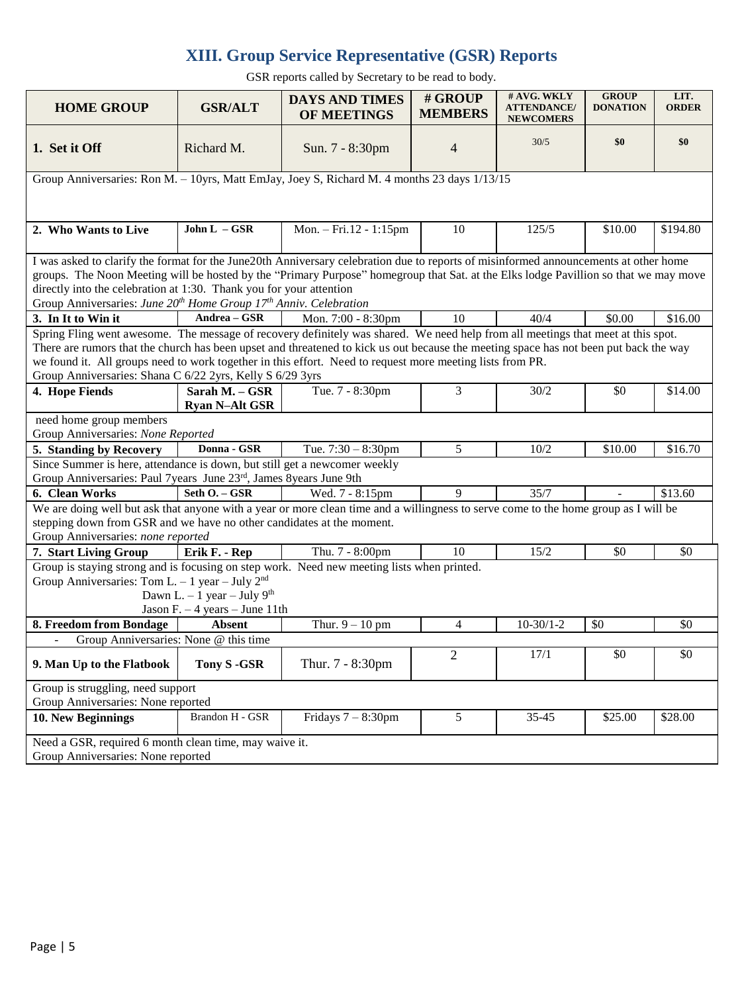## **XIII. Group Service Representative (GSR) Reports**

GSR reports called by Secretary to be read to body.

| <b>HOME GROUP</b>                                                                                                                                                                                                                                                                                                                                                                                                                                   | <b>GSR/ALT</b>                                                                               | <b>DAYS AND TIMES</b><br>OF MEETINGS | # GROUP<br><b>MEMBERS</b> | # AVG. WKLY<br><b>ATTENDANCE/</b><br><b>NEWCOMERS</b> | <b>GROUP</b><br><b>DONATION</b> | LIT.<br><b>ORDER</b> |  |  |  |  |
|-----------------------------------------------------------------------------------------------------------------------------------------------------------------------------------------------------------------------------------------------------------------------------------------------------------------------------------------------------------------------------------------------------------------------------------------------------|----------------------------------------------------------------------------------------------|--------------------------------------|---------------------------|-------------------------------------------------------|---------------------------------|----------------------|--|--|--|--|
| 1. Set it Off                                                                                                                                                                                                                                                                                                                                                                                                                                       | Richard M.                                                                                   | Sun. 7 - 8:30pm                      | $\overline{4}$            | 30/5                                                  | \$0                             | \$0                  |  |  |  |  |
| Group Anniversaries: Ron M. - 10yrs, Matt EmJay, Joey S, Richard M. 4 months 23 days 1/13/15                                                                                                                                                                                                                                                                                                                                                        |                                                                                              |                                      |                           |                                                       |                                 |                      |  |  |  |  |
|                                                                                                                                                                                                                                                                                                                                                                                                                                                     |                                                                                              |                                      |                           |                                                       |                                 |                      |  |  |  |  |
| 2. Who Wants to Live                                                                                                                                                                                                                                                                                                                                                                                                                                | John $L - GSR$                                                                               | Mon. - Fri.12 - 1:15pm               | 10                        | 125/5                                                 | \$10.00                         | \$194.80             |  |  |  |  |
| I was asked to clarify the format for the June20th Anniversary celebration due to reports of misinformed announcements at other home<br>groups. The Noon Meeting will be hosted by the "Primary Purpose" homegroup that Sat. at the Elks lodge Pavillion so that we may move<br>directly into the celebration at 1:30. Thank you for your attention<br>Group Anniversaries: June 20 <sup>th</sup> Home Group 17 <sup>th</sup> Anniv. Celebration    |                                                                                              |                                      |                           |                                                       |                                 |                      |  |  |  |  |
| 3. In It to Win it                                                                                                                                                                                                                                                                                                                                                                                                                                  | Andrea - GSR                                                                                 | Mon. 7:00 - 8:30pm                   | 10                        | 40/4                                                  | \$0.00                          | \$16.00              |  |  |  |  |
| Spring Fling went awesome. The message of recovery definitely was shared. We need help from all meetings that meet at this spot.<br>There are rumors that the church has been upset and threatened to kick us out because the meeting space has not been put back the way<br>we found it. All groups need to work together in this effort. Need to request more meeting lists from PR.<br>Group Anniversaries: Shana C 6/22 2yrs, Kelly S 6/29 3yrs |                                                                                              |                                      |                           |                                                       |                                 |                      |  |  |  |  |
| 4. Hope Fiends                                                                                                                                                                                                                                                                                                                                                                                                                                      | Sarah M. - GSR<br><b>Ryan N-Alt GSR</b>                                                      | Tue. 7 - 8:30pm                      | 3                         | 30/2                                                  | \$0                             | \$14.00              |  |  |  |  |
| need home group members                                                                                                                                                                                                                                                                                                                                                                                                                             |                                                                                              |                                      |                           |                                                       |                                 |                      |  |  |  |  |
| Group Anniversaries: None Reported                                                                                                                                                                                                                                                                                                                                                                                                                  |                                                                                              |                                      |                           |                                                       |                                 |                      |  |  |  |  |
| 5. Standing by Recovery                                                                                                                                                                                                                                                                                                                                                                                                                             | Donna - GSR                                                                                  | Tue. $7:30 - 8:30$ pm                | 5                         | 10/2                                                  | \$10.00                         | \$16.70              |  |  |  |  |
| Since Summer is here, attendance is down, but still get a newcomer weekly<br>Group Anniversaries: Paul 7years June 23rd, James 8years June 9th                                                                                                                                                                                                                                                                                                      |                                                                                              |                                      |                           |                                                       |                                 |                      |  |  |  |  |
| 6. Clean Works                                                                                                                                                                                                                                                                                                                                                                                                                                      | Seth O. - GSR                                                                                | Wed. 7 - 8:15pm                      | $\mathbf Q$               | 35/7                                                  |                                 | \$13.60              |  |  |  |  |
| We are doing well but ask that anyone with a year or more clean time and a willingness to serve come to the home group as I will be<br>stepping down from GSR and we have no other candidates at the moment.<br>Group Anniversaries: none reported                                                                                                                                                                                                  |                                                                                              |                                      |                           |                                                       |                                 |                      |  |  |  |  |
| 7. Start Living Group                                                                                                                                                                                                                                                                                                                                                                                                                               | Erik F. - Rep                                                                                | Thu. 7 - 8:00pm                      | 10                        | 15/2                                                  | \$0                             | \$0                  |  |  |  |  |
| Group is staying strong and is focusing on step work. Need new meeting lists when printed.<br>Group Anniversaries: Tom L. - 1 year - July $2nd$<br>Dawn L. $-1$ year $-$ July 9 <sup>th</sup><br>Jason F. $-4$ years $-$ June 11th                                                                                                                                                                                                                  |                                                                                              |                                      |                           |                                                       |                                 |                      |  |  |  |  |
| 8. Freedom from Bondage                                                                                                                                                                                                                                                                                                                                                                                                                             | <b>Absent</b>                                                                                | Thur. $9 - 10$ pm                    | $\overline{4}$            | $10-30/1-2$                                           | \$0                             | \$0                  |  |  |  |  |
| Group Anniversaries: None @ this time                                                                                                                                                                                                                                                                                                                                                                                                               |                                                                                              |                                      |                           |                                                       |                                 |                      |  |  |  |  |
| 9. Man Up to the Flatbook                                                                                                                                                                                                                                                                                                                                                                                                                           | Tony S -GSR                                                                                  | Thur. 7 - 8:30pm                     | $\overline{2}$            | 17/1                                                  | \$0                             | \$0                  |  |  |  |  |
| Group is struggling, need support<br>Group Anniversaries: None reported                                                                                                                                                                                                                                                                                                                                                                             |                                                                                              |                                      |                           |                                                       |                                 |                      |  |  |  |  |
| 10. New Beginnings                                                                                                                                                                                                                                                                                                                                                                                                                                  | Brandon H - GSR                                                                              | Fridays $7 - 8:30$ pm                | 5                         | $35 - 45$                                             | \$25.00                         | \$28.00              |  |  |  |  |
|                                                                                                                                                                                                                                                                                                                                                                                                                                                     | Need a GSR, required 6 month clean time, may waive it.<br>Group Anniversaries: None reported |                                      |                           |                                                       |                                 |                      |  |  |  |  |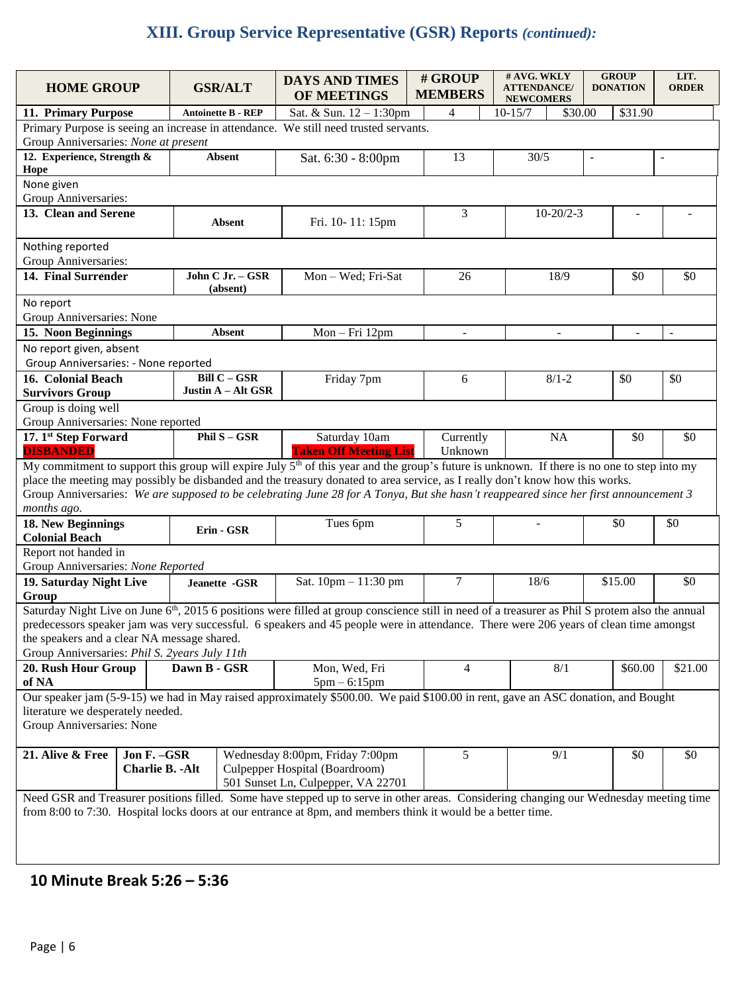# **XIII. Group Service Representative (GSR) Reports** *(continued):*

| <b>HOME GROUP</b>                             |                         |              | <b>GSR/ALT</b>            | <b>DAYS AND TIMES</b><br>OF MEETINGS                                                                                                                         | # GROUP<br><b>MEMBERS</b> | # AVG. WKLY<br><b>ATTENDANCE/</b><br><b>NEWCOMERS</b> |         | <b>GROUP</b><br><b>DONATION</b> |         | LIT.<br><b>ORDER</b>     |
|-----------------------------------------------|-------------------------|--------------|---------------------------|--------------------------------------------------------------------------------------------------------------------------------------------------------------|---------------------------|-------------------------------------------------------|---------|---------------------------------|---------|--------------------------|
| 11. Primary Purpose                           |                         |              | <b>Antoinette B - REP</b> | Sat. & Sun. 12 - 1:30pm                                                                                                                                      | 4                         | $10 - 15/7$                                           | \$30.00 |                                 | \$31.90 |                          |
|                                               |                         |              |                           | Primary Purpose is seeing an increase in attendance. We still need trusted servants.                                                                         |                           |                                                       |         |                                 |         |                          |
| Group Anniversaries: None at present          |                         |              |                           |                                                                                                                                                              |                           |                                                       |         |                                 |         |                          |
| 12. Experience, Strength &<br>Hope            |                         |              | <b>Absent</b>             | Sat. 6:30 - 8:00pm                                                                                                                                           | 13                        | 30/5                                                  |         | $\overline{\phantom{a}}$        |         | $\blacksquare$           |
| None given                                    |                         |              |                           |                                                                                                                                                              |                           |                                                       |         |                                 |         |                          |
| Group Anniversaries:                          |                         |              |                           |                                                                                                                                                              |                           |                                                       |         |                                 |         |                          |
| 13. Clean and Serene                          |                         |              |                           |                                                                                                                                                              | 3                         | $10-20/2-3$                                           |         |                                 |         |                          |
|                                               |                         |              | Absent                    | Fri. 10-11: 15pm                                                                                                                                             |                           |                                                       |         |                                 |         |                          |
|                                               |                         |              |                           |                                                                                                                                                              |                           |                                                       |         |                                 |         |                          |
| Nothing reported<br>Group Anniversaries:      |                         |              |                           |                                                                                                                                                              |                           |                                                       |         |                                 |         |                          |
| 14. Final Surrender                           |                         |              | John C Jr. - GSR          | Mon-Wed; Fri-Sat                                                                                                                                             | 26                        | 18/9                                                  |         |                                 | \$0     | \$0                      |
|                                               |                         |              | (absent)                  |                                                                                                                                                              |                           |                                                       |         |                                 |         |                          |
| No report                                     |                         |              |                           |                                                                                                                                                              |                           |                                                       |         |                                 |         |                          |
| Group Anniversaries: None                     |                         |              |                           |                                                                                                                                                              |                           |                                                       |         |                                 |         |                          |
| 15. Noon Beginnings                           |                         |              | <b>Absent</b>             | Mon-Fri 12pm                                                                                                                                                 | $\overline{\phantom{a}}$  | $\mathbf{r}$                                          |         |                                 | L.      | $\overline{\phantom{a}}$ |
| No report given, absent                       |                         |              |                           |                                                                                                                                                              |                           |                                                       |         |                                 |         |                          |
| Group Anniversaries: - None reported          |                         |              |                           |                                                                                                                                                              |                           |                                                       |         |                                 |         |                          |
| 16. Colonial Beach                            |                         |              | <b>Bill C - GSR</b>       | Friday 7pm                                                                                                                                                   | 6                         | $8/1 - 2$                                             |         |                                 | \$0     | \$0                      |
| <b>Survivors Group</b>                        |                         |              | Justin A - Alt GSR        |                                                                                                                                                              |                           |                                                       |         |                                 |         |                          |
| Group is doing well                           |                         |              |                           |                                                                                                                                                              |                           |                                                       |         |                                 |         |                          |
| Group Anniversaries: None reported            |                         |              |                           |                                                                                                                                                              |                           |                                                       |         |                                 |         |                          |
| 17. 1st Step Forward                          |                         |              | Phil $S - GSR$            | Saturday 10am                                                                                                                                                | Currently                 | NA                                                    |         |                                 | \$0     | \$0                      |
| <b>DISBANDED</b>                              |                         |              |                           | <b>Taken Off Meeting List</b>                                                                                                                                | Unknown                   |                                                       |         |                                 |         |                          |
|                                               |                         |              |                           | My commitment to support this group will expire July 5 <sup>th</sup> of this year and the group's future is unknown. If there is no one to step into my      |                           |                                                       |         |                                 |         |                          |
|                                               |                         |              |                           | place the meeting may possibly be disbanded and the treasury donated to area service, as I really don't know how this works.                                 |                           |                                                       |         |                                 |         |                          |
|                                               |                         |              |                           | Group Anniversaries: We are supposed to be celebrating June 28 for A Tonya, But she hasn't reappeared since her first announcement 3                         |                           |                                                       |         |                                 |         |                          |
| months ago.                                   |                         |              |                           |                                                                                                                                                              |                           |                                                       |         |                                 |         |                          |
| 18. New Beginnings                            |                         |              | Erin - GSR                | Tues 6pm                                                                                                                                                     | 5                         |                                                       |         |                                 | \$0     | \$0                      |
| <b>Colonial Beach</b>                         |                         |              |                           |                                                                                                                                                              |                           |                                                       |         |                                 |         |                          |
| Report not handed in                          |                         |              |                           |                                                                                                                                                              |                           |                                                       |         |                                 |         |                          |
| Group Anniversaries: None Reported            |                         |              |                           |                                                                                                                                                              |                           |                                                       |         |                                 |         |                          |
| 19. Saturday Night Live                       |                         |              | Jeanette -GSR             | Sat. 10pm - 11:30 pm                                                                                                                                         | $\tau$                    | 18/6                                                  |         |                                 | \$15.00 | \$0                      |
| Group                                         |                         |              |                           |                                                                                                                                                              |                           |                                                       |         |                                 |         |                          |
|                                               |                         |              |                           | Saturday Night Live on June 6 <sup>th</sup> , 2015 6 positions were filled at group conscience still in need of a treasurer as Phil S protem also the annual |                           |                                                       |         |                                 |         |                          |
|                                               |                         |              |                           | predecessors speaker jam was very successful. 6 speakers and 45 people were in attendance. There were 206 years of clean time amongst                        |                           |                                                       |         |                                 |         |                          |
| the speakers and a clear NA message shared.   |                         |              |                           |                                                                                                                                                              |                           |                                                       |         |                                 |         |                          |
| Group Anniversaries: Phil S. 2years July 11th |                         |              |                           |                                                                                                                                                              |                           |                                                       |         |                                 |         |                          |
| 20. Rush Hour Group                           |                         | Dawn B - GSR |                           | Mon, Wed, Fri                                                                                                                                                | 4                         |                                                       | 8/1     |                                 | \$60.00 | \$21.00                  |
| of NA                                         |                         |              |                           | $5pm - 6:15pm$<br>Our speaker jam (5-9-15) we had in May raised approximately \$500.00. We paid \$100.00 in rent, gave an ASC donation, and Bought           |                           |                                                       |         |                                 |         |                          |
| literature we desperately needed.             |                         |              |                           |                                                                                                                                                              |                           |                                                       |         |                                 |         |                          |
| Group Anniversaries: None                     |                         |              |                           |                                                                                                                                                              |                           |                                                       |         |                                 |         |                          |
|                                               |                         |              |                           |                                                                                                                                                              |                           |                                                       |         |                                 |         |                          |
| 21. Alive & Free                              | Jon F. - GSR            |              |                           | Wednesday 8:00pm, Friday 7:00pm                                                                                                                              | 5                         | 9/1                                                   |         |                                 | \$0     | \$0                      |
|                                               | <b>Charlie B. - Alt</b> |              |                           | Culpepper Hospital (Boardroom)                                                                                                                               |                           |                                                       |         |                                 |         |                          |
|                                               |                         |              |                           | 501 Sunset Ln, Culpepper, VA 22701                                                                                                                           |                           |                                                       |         |                                 |         |                          |
|                                               |                         |              |                           | Need GSR and Treasurer positions filled. Some have stepped up to serve in other areas. Considering changing our Wednesday meeting time                       |                           |                                                       |         |                                 |         |                          |
|                                               |                         |              |                           | from 8:00 to 7:30. Hospital locks doors at our entrance at 8pm, and members think it would be a better time.                                                 |                           |                                                       |         |                                 |         |                          |
|                                               |                         |              |                           |                                                                                                                                                              |                           |                                                       |         |                                 |         |                          |
|                                               |                         |              |                           |                                                                                                                                                              |                           |                                                       |         |                                 |         |                          |
|                                               |                         |              |                           |                                                                                                                                                              |                           |                                                       |         |                                 |         |                          |
|                                               |                         |              |                           |                                                                                                                                                              |                           |                                                       |         |                                 |         |                          |

## **10 Minute Break 5:26 – 5:36**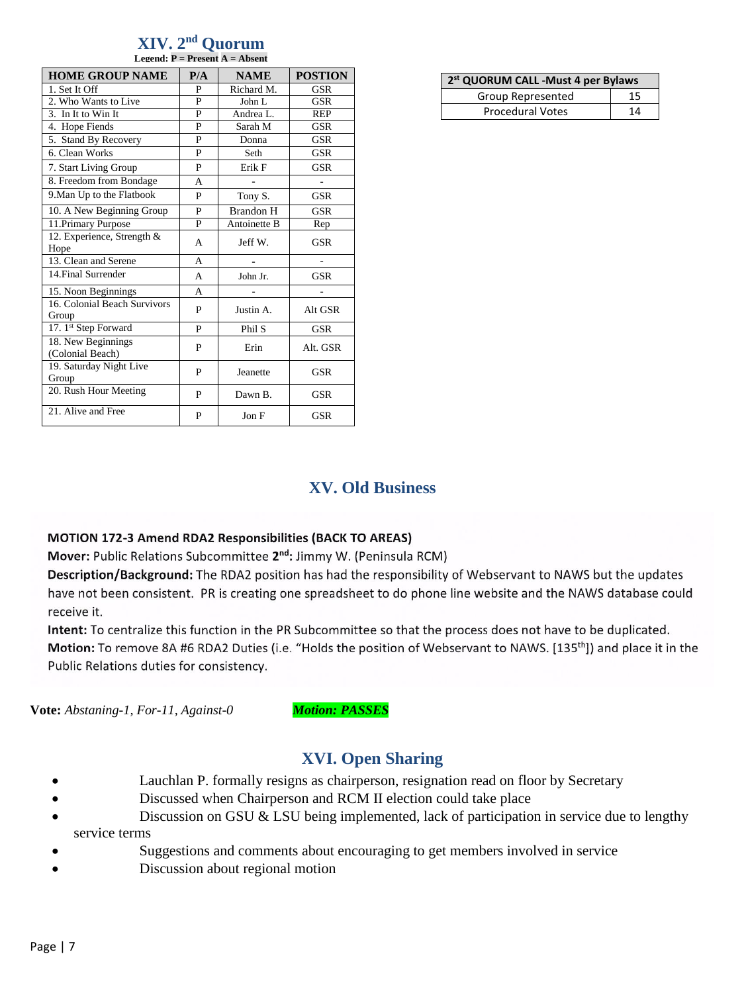#### **XIV. 2 nd Quorum Legend: P = Present A = Absent**

| <b>HOME GROUP NAME</b>                 | P/A | <b>NAME</b>      | <b>POSTION</b>           |  |
|----------------------------------------|-----|------------------|--------------------------|--|
| 1. Set It Off                          | P   | Richard M.       | GSR                      |  |
| 2. Who Wants to Live                   | P   | John L           | <b>GSR</b>               |  |
| 3. In It to Win It                     | P   | Andrea L.        | <b>REP</b>               |  |
| 4. Hope Fiends                         | P   | Sarah M          | GSR                      |  |
| 5. Stand By Recovery                   | P   | Donna            | GSR                      |  |
| 6. Clean Works                         | P   | Seth             | GSR                      |  |
| 7. Start Living Group                  | P   | Erik F           | GSR                      |  |
| 8. Freedom from Bondage                | A   |                  | $\overline{\phantom{a}}$ |  |
| 9. Man Up to the Flatbook              | P   | Tony S.          | <b>GSR</b>               |  |
| 10. A New Beginning Group              | P   | <b>Brandon H</b> | GSR                      |  |
| 11. Primary Purpose                    | P   | Antoinette B     | Rep                      |  |
| 12. Experience, Strength &<br>Hope     | A   | Jeff W.          | GSR                      |  |
| 13. Clean and Serene                   | A   |                  |                          |  |
| 14. Final Surrender                    | A   | John Jr.         | <b>GSR</b>               |  |
| 15. Noon Beginnings                    | A   |                  |                          |  |
| 16. Colonial Beach Survivors<br>Group  | P   | Justin A.        | Alt GSR                  |  |
| 17. 1st Step Forward                   | P   | Phil S           | <b>GSR</b>               |  |
| 18. New Beginnings<br>(Colonial Beach) | P   | Erin             | Alt. GSR                 |  |
| 19. Saturday Night Live<br>Group       | P   | Jeanette         | GSR                      |  |
| 20. Rush Hour Meeting                  | P   | Dawn B.          | <b>GSR</b>               |  |
| 21. Alive and Free                     | P   | Jon F            | GSR                      |  |

| 2 <sup>st</sup> QUORUM CALL - Must 4 per Bylaws |    |  |  |  |  |
|-------------------------------------------------|----|--|--|--|--|
| Group Represented                               | 15 |  |  |  |  |
| <b>Procedural Votes</b>                         | 14 |  |  |  |  |

## **XV. Old Business**

#### MOTION 172-3 Amend RDA2 Responsibilities (BACK TO AREAS)

Mover: Public Relations Subcommittee 2<sup>nd</sup>: Jimmy W. (Peninsula RCM)

Description/Background: The RDA2 position has had the responsibility of Webservant to NAWS but the updates have not been consistent. PR is creating one spreadsheet to do phone line website and the NAWS database could receive it.

Intent: To centralize this function in the PR Subcommittee so that the process does not have to be duplicated. Motion: To remove 8A #6 RDA2 Duties (i.e. "Holds the position of Webservant to NAWS. [135<sup>th</sup>]) and place it in the Public Relations duties for consistency.

**Vote:** *Abstaning-1, For-11, Against-0 Motion: PASSES*

## **XVI. Open Sharing**

- Lauchlan P. formally resigns as chairperson, resignation read on floor by Secretary
- Discussed when Chairperson and RCM II election could take place
- Discussion on GSU & LSU being implemented, lack of participation in service due to lengthy service terms
- Suggestions and comments about encouraging to get members involved in service
- Discussion about regional motion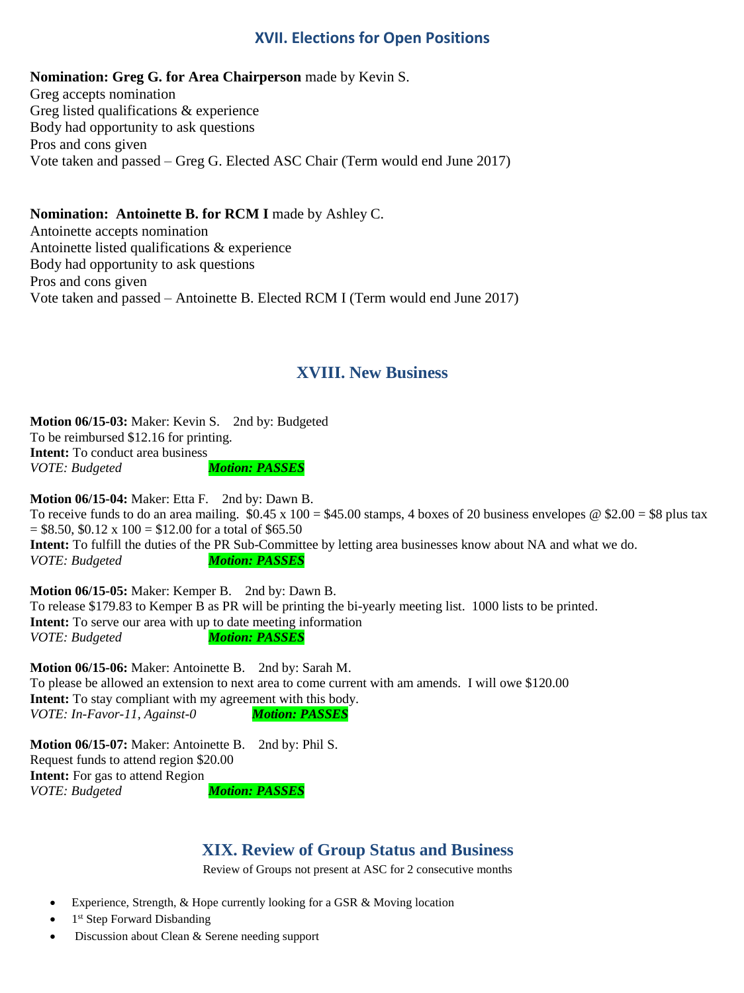### **XVII. Elections for Open Positions**

**Nomination: Greg G. for Area Chairperson** made by Kevin S. Greg accepts nomination Greg listed qualifications & experience Body had opportunity to ask questions Pros and cons given Vote taken and passed – Greg G. Elected ASC Chair (Term would end June 2017)

#### **Nomination: Antoinette B. for RCM I** made by Ashley C.

Antoinette accepts nomination Antoinette listed qualifications & experience Body had opportunity to ask questions Pros and cons given Vote taken and passed – Antoinette B. Elected RCM I (Term would end June 2017)

## **XVIII. New Business**

**Motion 06/15-03:** Maker: Kevin S. 2nd by: Budgeted To be reimbursed \$12.16 for printing. **Intent:** To conduct area business *VOTE: Budgeted Motion: PASSES*

**Motion 06/15-04:** Maker: Etta F. 2nd by: Dawn B. To receive funds to do an area mailing.  $$0.45 \times 100 = $45.00$  stamps, 4 boxes of 20 business envelopes @ \$2.00 = \$8 plus tax  $=$  \$8.50, \$0.12 x 100 = \$12.00 for a total of \$65.50 **Intent:** To fulfill the duties of the PR Sub-Committee by letting area businesses know about NA and what we do. *VOTE: Budgeted Motion: PASSES*

**Motion 06/15-05:** Maker: Kemper B. 2nd by: Dawn B. To release \$179.83 to Kemper B as PR will be printing the bi-yearly meeting list. 1000 lists to be printed. **Intent:** To serve our area with up to date meeting information *VOTE: Budgeted Motion: PASSES*

**Motion 06/15-06:** Maker: Antoinette B. 2nd by: Sarah M. To please be allowed an extension to next area to come current with am amends. I will owe \$120.00 **Intent:** To stay compliant with my agreement with this body. *VOTE: In-Favor-11, Against-0 Motion: PASSES*

**Motion 06/15-07:** Maker: Antoinette B. 2nd by: Phil S. Request funds to attend region \$20.00 **Intent:** For gas to attend Region *VOTE: Budgeted Motion: PASSES*

## **XIX. Review of Group Status and Business**

Review of Groups not present at ASC for 2 consecutive months

- Experience, Strength, & Hope currently looking for a GSR & Moving location
- 1<sup>st</sup> Step Forward Disbanding
- Discussion about Clean & Serene needing support